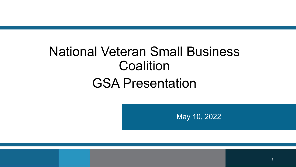# National Veteran Small Business **Coalition**

# GSA Presentation

May 10, 2022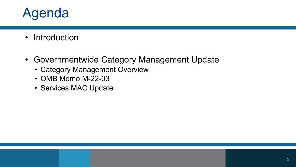# Agenda

- Introduction
- Governmentwide Category Management Update
	- Category Management Overview
	- OMB Memo M-22-03
	- Services MAC Update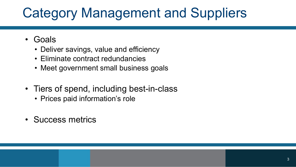# Category Management and Suppliers

- Goals
	- Deliver savings, value and efficiency
	- Eliminate contract redundancies
	- Meet government small business goals
- Tiers of spend, including best-in-class
	- Prices paid information's role
- Success metrics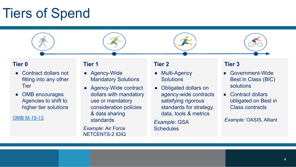# Tiers of Spend

### **Tier 0**

- Contract dollars not fitting into any other **Tier**
- OMB encourages Agencies to shift to higher tier solutions

[OMB M-19-13](https://www.whitehouse.gov/wp-content/uploads/2019/03/M-19-13.pdf)

#### **Tier 1**

- Agency-Wide Mandatory Solutions
- Agency-Wide contract dollars with mandatory use or mandatory consideration policies & data sharing standards

*Example:* Air Force NETCENTS-2 IDIQ

#### **Tier 2**

- Multi-Agency **Solutions**
- Obligated dollars on agency-wide contracts satisfying rigorous standards for strategy, data, tools & metrics

*Example:* GSA **Schedules** 

### **Tier 3**

- Government-Wide Best in Class (BIC) solutions
- Contract dollars obligated on Best in Class contracts

*Example:* OASIS, Alliant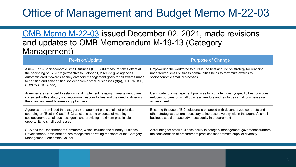## Office of Management and Budget Memo M-22-03

## [OMB Memo M-22-03](https://www.whitehouse.gov/wp-content/uploads/2021/12/M-22-03.pdf) issued December 02, 2021, made revisions and updates to OMB Memorandum M-19-13 (Category Management)

| Revision/Update                                                                                                                                                                                                                                                                                                                                   | <b>Purpose of Change</b>                                                                                                                                                                                                        |
|---------------------------------------------------------------------------------------------------------------------------------------------------------------------------------------------------------------------------------------------------------------------------------------------------------------------------------------------------|---------------------------------------------------------------------------------------------------------------------------------------------------------------------------------------------------------------------------------|
| A new Tier 2-Socioeconomic Small Business (SB) SUM measure takes effect at<br>the beginning of FY 2022 (retroactive to October 1, 2021) to give agencies<br>automatic credit towards agency category management goals for all awards made<br>to certified and self-certified socioeconomic small businesses (8(a), SDB, WOSB,<br>SDVOSB, HUBZone) | Empowering the workforce to pursue the best acquisition strategy for reaching<br>underserved small business communities helps to maximize awards to<br>socioeconomic small businesses                                           |
| Agencies are reminded to establish and implement category management plans<br>consistent with statutory socioeconomic responsibilities and the need to diversify<br>the agencies' small business supplier base                                                                                                                                    | Using category management practices to promote industry-specific best practices<br>reduces burdens on small business vendors and reinforces small business goal<br>achievement                                                  |
| Agencies are reminded that category management plans shall not prioritize<br>spending on "Best in Class" (BIC) solutions at the expense of meeting<br>socioeconomic small business goals and providing maximum practicable<br>opportunity to small businesses                                                                                     | Ensuring that use of BIC solutions is balanced with decentralized contracts and<br>other strategies that are necessary to increase diversity within the agency's small<br>business supplier base advances equity in procurement |
| SBA and the Department of Commerce, which includes the Minority Business<br>Development Administration, are recognized as voting members of the Category<br>Management Leadership Council                                                                                                                                                         | Accounting for small business equity in category management governance furthers<br>the consideration of procurement practices that promote supplier diversity                                                                   |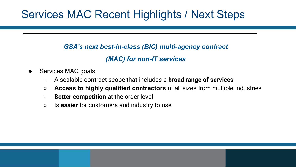## Services MAC Recent Highlights / Next Steps

### *GSA's next best-in-class (BIC) multi-agency contract*

## *(MAC) for non-IT services*

- Services MAC goals:
	- A scalable contract scope that includes a **broad range of services**
	- **Access to highly qualified contractors** of all sizes from multiple industries
	- **Better competition** at the order level
	- Is **easier** for customers and industry to use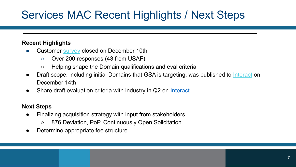## Services MAC Recent Highlights / Next Steps

### **Recent Highlights**

- **●** Customer [survey](https://feedback.gsa.gov/jfe/form/SV_bQRtv9SiT0b1WAe) closed on December 10th
	- **○** Over 200 responses (43 from USAF)
	- Helping shape the Domain qualifications and eval criteria
- Draft scope, including initial Domains that GSA is targeting, was published to [Interact](https://interact.gsa.gov/group/services-multi-agency-contract-mac-community) on December 14th
- **●** Share draft evaluation criteria with industry in Q2 on [Interact](https://interact.gsa.gov/document/services-mac-program-update-evaluation-strategy-overview)

### **Next Steps**

- **●** Finalizing acquisition strategy with input from stakeholders
	- 876 Deviation, PoP, Continuously Open Solicitation
- Determine appropriate fee structure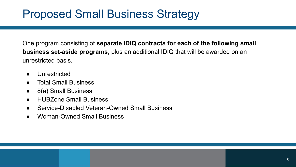## Proposed Small Business Strategy

One program consisting of **separate IDIQ contracts for each of the following small business set-aside programs**, plus an additional IDIQ that will be awarded on an unrestricted basis.

- Unrestricted
- **Total Small Business**
- 8(a) Small Business
- HUBZone Small Business
- Service-Disabled Veteran-Owned Small Business
- Woman-Owned Small Business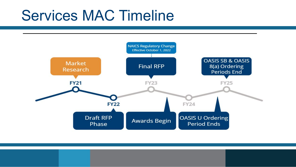# Services MAC Timeline

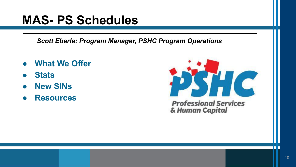# **MAS- PS Schedules**

*Scott Eberle: Program Manager, PSHC Program Operations*

- **● What We Offer**
- **● Stats**
- **● New SINs**
- **● Resources**



П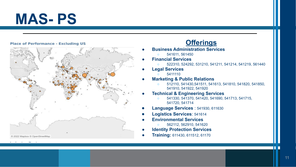# **MAS- PS**

#### **Place of Performance - Excluding US**



### **Offerings**

- **● Business Administration Services**
	- 541611, 561450
	- **● Financial Services**
		- 522310, 524292, 531210, 541211, 541214, 541219, 561440
- **● Legal Services**
	- 5411110
- **● Marketing & Public Relations**
	- 512110, 541430,541511, 541613, 541810, 541820, 541850, 541910, 541922, 541920

#### **Technical & Engineering Services**

- 541330, 541370, 541420, 541690, 541713, 541715, 541720, 541714
- **Language Services** : 541930, 611630
- **Logistics Services**: 541614
- **● Environmental Services**
	- 562112, 562910, 541620
- **● Identity Protection Services**
- **● Training:** 611430, 611512, 61170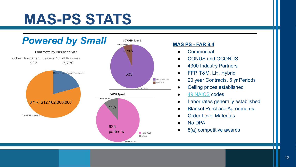# **MAS-PS STATS**



- **●** Commercial
- **●** CONUS and OCONUS
- **●** 4300 Industry Partners
- **●** FFP, T&M, LH, Hybrid
- **●** 20 year Contracts, 5 yr Periods
	- **●** Ceiling prices established
- **●** 49 NAICS codes
- **●** Labor rates generally established
- **Blanket Purchase Agreements**
- **Order Level Materials**
- **●** No DPA
- **●** 8(a) competitive awards

П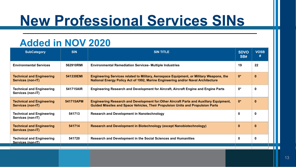# **New Professional Services SINs**

## **Added in NOV 2020**

| <b>SubCategory</b>                                    | <b>SIN</b> | <b>SIN TITLE</b>                                                                                                                                                                   | <b>SDVO</b><br>SB# | <b>VOSB</b><br># |
|-------------------------------------------------------|------------|------------------------------------------------------------------------------------------------------------------------------------------------------------------------------------|--------------------|------------------|
| <b>Environmental Services</b>                         | 562910RMI  | <b>Environmental Remediation Services- Multiple Industries</b>                                                                                                                     | 19                 | 22               |
| <b>Technical and Engineering</b><br>Services (non-IT) | 541330EMI  | <b>Engineering Services related to Military, Aerospace Equipment, or Military Weapons, the</b><br>National Energy Policy Act of 1992, Marine Engineering and/or Naval Architecture | $0*$               | 0                |
| <b>Technical and Engineering</b><br>Services (non-IT) | 541715AIR  | $0*$<br>Engineering Research and Development for Aircraft, Aircraft Engine and Engine Parts                                                                                        |                    | $\mathbf{0}$     |
| <b>Technical and Engineering</b><br>Services (non-IT) | 541715APM  | $0*$<br>Engineering Research and Development for: Other Aircraft Parts and Auxillary Equipment,<br>Guided Missiles and Space Vehicles, Their Propulsion Units and Propulsion Parts |                    | 0                |
| <b>Technical and Engineering</b><br>Services (non-IT) | 541713     | <b>Research and Development in Nanotechnology</b><br>0                                                                                                                             |                    | 0                |
| <b>Technical and Engineering</b><br>Services (non-IT) | 541714     | <b>Research and Development in Biotechnology (except Nanobiotechnology)</b>                                                                                                        |                    | 0                |
| <b>Technical and Engineering</b><br>Services (non-IT) | 541720     | Research and Development in the Social Sciences and Humanities                                                                                                                     | 0                  | 0                |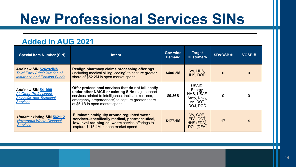# **New Professional Services SINs**

## **Added in AUG 2021**

| <b>Special Item Number (SIN)</b>                                                                            | <b>Intent</b>                                                                                                                                                                                                                                           | Gov-wide<br><b>Demand</b> | <b>Target</b><br><b>Customers</b>                                      | <b>SDVOSB#</b> | <b>VOSB#</b>   |
|-------------------------------------------------------------------------------------------------------------|---------------------------------------------------------------------------------------------------------------------------------------------------------------------------------------------------------------------------------------------------------|---------------------------|------------------------------------------------------------------------|----------------|----------------|
| <b>Add new SIN 524292INS</b><br><b>Third Party Administration of</b><br><b>Insurance and Pension Funds</b>  | <b>Realign pharmacy claims processing offerings</b><br>(including medical billing, coding) to capture greater<br>share of \$52.2M in open market spend                                                                                                  | \$406.2M                  | VA, HHS,<br>IHS. DOD                                                   |                | $\Omega$       |
| <b>Add new SIN 541990</b><br><b>All Other Professional,</b><br>Scientific, and Technical<br><b>Services</b> | Offer professional services that do not fall neatly<br>under other NAICS or existing SINs (e.g., support<br>services related to intelligence, tactical exercises,<br>emergency preparedness) to capture greater share<br>of \$5.1B in open market spend | \$9.86B                   | USAID.<br>Energy,<br>HHS, USAF,<br>Army, Navy,<br>VA, DOT,<br>DOJ, DOC |                | 0              |
| <b>Update existing SIN 562112</b><br><b>Hazardous Waste Disposal</b><br><b>Services</b>                     | Eliminate ambiguity around regulated waste<br>services--specifically medical, pharmaceutical,<br>low-level radiological waste service offerings to<br>capture \$115.4M in open market spend                                                             | \$177.1M                  | VA, COE,<br>EPA, DOT,<br>HHS (FDA),<br>DOJ (DEA)                       | 17             | $\overline{4}$ |

П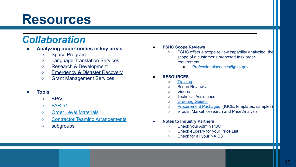# **Resources**

## *Collaboration*

- **● Analyzing opportunities in key areas**
	- Space Program
	- Language Translation Services
	- Research & Development
	- o [Emergency & Disaster Recovery](https://www.gsa.gov/cdnstatic/DISASTER%20PURCHASING%20(2).pdf)
	- Grant Management Services

#### **● Tools**

- BPAs
- [FAR 51](https://www.acquisition.gov/far/part-51)
- [Order Level Materials](https://www.gsa.gov/buying-selling/purchasing-programs/gsa-multiple-award-schedule/schedule-features/orderlevel-materials-olms)
- [Contractor Teaming Arrangements](https://gcc02.safelinks.protection.outlook.com/?url=https%3A%2F%2Fwww.gsa.gov%2Fbuying-selling%2Fpurchasing-programs%2Fgsa-schedule%2Fschedule-features%2Fcontractor-team-arrangements&data=04%7C01%7Cdebo.nancy%40epa.gov%7Cf2527ee65e5046a7c50b08d8e33f234d%7C88b378b367484867acf976aacbeca6a7%7C0%7C0%7C637509207947957307%7CUnknown%7CTWFpbGZsb3d8eyJWIjoiMC4wLjAwMDAiLCJQIjoiV2luMzIiLCJBTiI6Ik1haWwiLCJXVCI6Mn0%3D%7C1000&sdata=JuoEuWFv9ETGf8qU2be9eNwWxIlfqFdWKVCGqz6nLQM%3D&reserved=0)
- subgroups

#### **● PSHC Scope Reviews**

- PSHC offers a scope review capability analyzing the scope of a customer's proposed task order requirement
	- [Professionalservices@gsa.gov](mailto:Professionalservices@gsa.gov)

#### **● RESOURCES**

- [Training](https://www.gsa.gov/buying-selling/products-services/professional-services/training)
- Scope Reviews
- Videos
- Technical Assistance
- o **[Ordering Guides](https://www.gsa.gov/buying-selling/new-to-gsa-acquisitions/how-to-buy-through-gsa/acquisition-planning-package-overview)**
- [Procurement Packages](https://www.gsa.gov/buying-selling/new-to-gsa-acquisitions/how-to-buy-through-gsa/acquisition-planning-package-overview/professional-services-acquisition-planning-package) (IGCE, templates, samples)
- eTools: Market Research and Price Analysis

#### **● Notes to Industry Partners**

- Check your Admin POC
- Check eLibrary for your Price List
- Check for all your NAICS